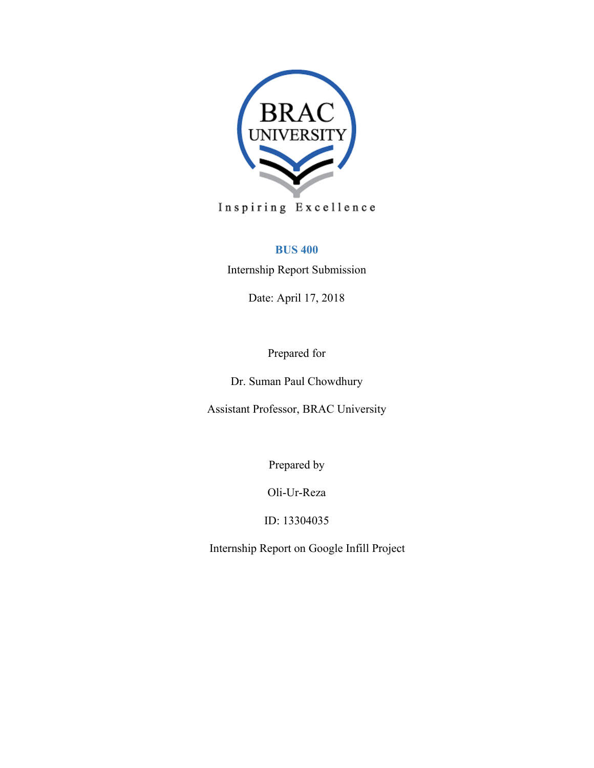

# **BUS 400**

Internship Report Submission

Date: April 17, 2018

Prepared for

Dr. Suman Paul Chowdhury

Assistant Professor, BRAC University

Prepared by

Oli-Ur-Reza

ID: 13304035

Internship Report on Google Infill Project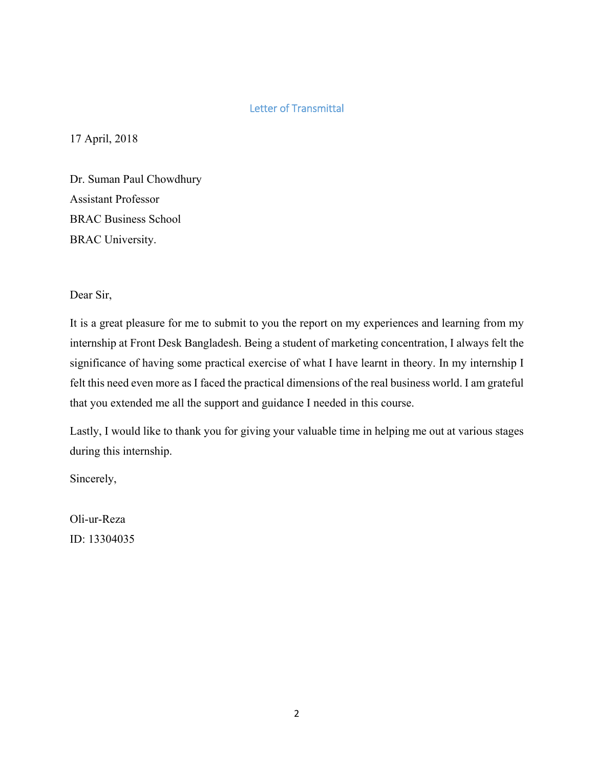### Letter of Transmittal

17 April, 2018

Dr. Suman Paul Chowdhury Assistant Professor BRAC Business School BRAC University.

Dear Sir,

It is a great pleasure for me to submit to you the report on my experiences and learning from my internship at Front Desk Bangladesh. Being a student of marketing concentration, I always felt the significance of having some practical exercise of what I have learnt in theory. In my internship I felt this need even more as I faced the practical dimensions of the real business world. I am grateful that you extended me all the support and guidance I needed in this course.

Lastly, I would like to thank you for giving your valuable time in helping me out at various stages during this internship.

Sincerely,

Oli-ur-Reza ID: 13304035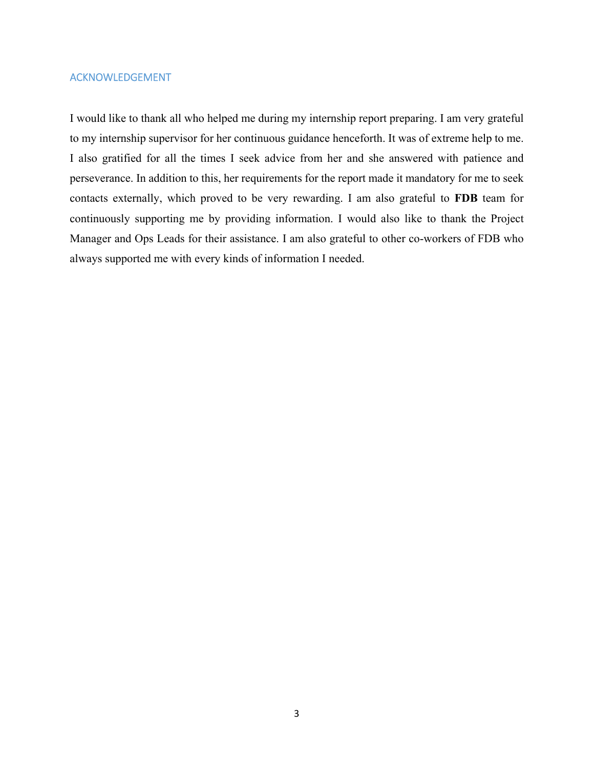#### ACKNOWLEDGEMENT

I would like to thank all who helped me during my internship report preparing. I am very grateful to my internship supervisor for her continuous guidance henceforth. It was of extreme help to me. I also gratified for all the times I seek advice from her and she answered with patience and perseverance. In addition to this, her requirements for the report made it mandatory for me to seek contacts externally, which proved to be very rewarding. I am also grateful to **FDB** team for continuously supporting me by providing information. I would also like to thank the Project Manager and Ops Leads for their assistance. I am also grateful to other co-workers of FDB who always supported me with every kinds of information I needed.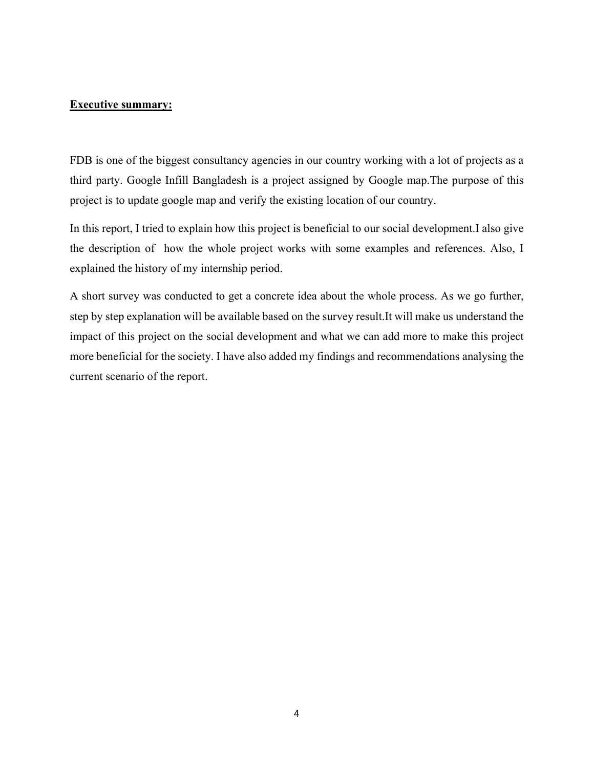#### **Executive summary:**

FDB is one of the biggest consultancy agencies in our country working with a lot of projects as a third party. Google Infill Bangladesh is a project assigned by Google map.The purpose of this project is to update google map and verify the existing location of our country.

In this report, I tried to explain how this project is beneficial to our social development.I also give the description of how the whole project works with some examples and references. Also, I explained the history of my internship period.

A short survey was conducted to get a concrete idea about the whole process. As we go further, step by step explanation will be available based on the survey result.It will make us understand the impact of this project on the social development and what we can add more to make this project more beneficial for the society. I have also added my findings and recommendations analysing the current scenario of the report.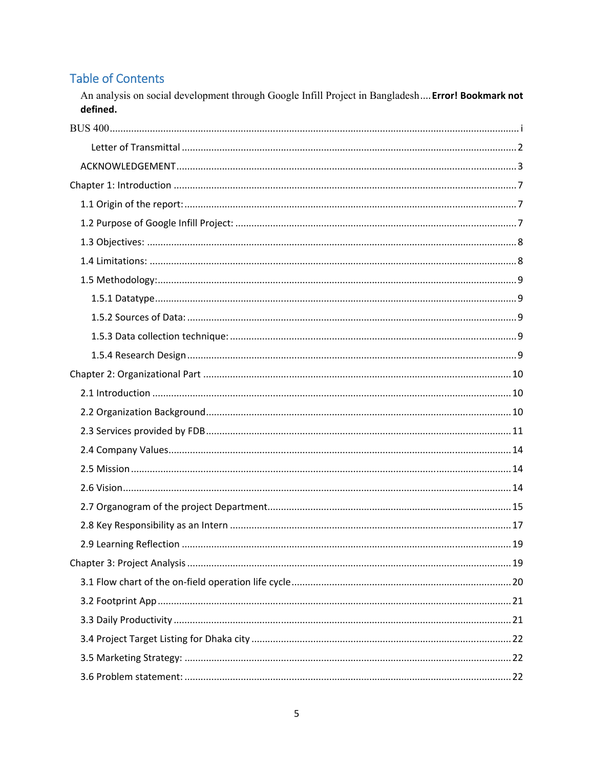# **Table of Contents**

An analysis on social development through Google Infill Project in Bangladesh.... Error! Bookmark not defined.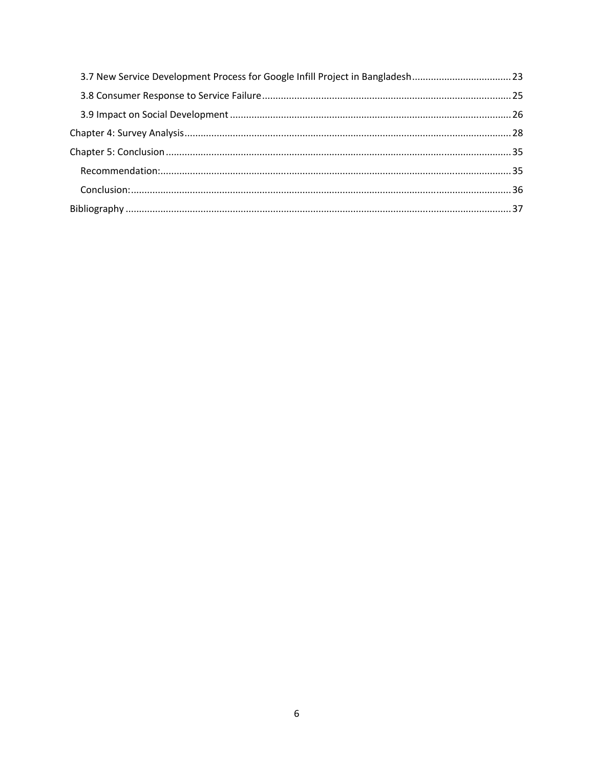| 3.7 New Service Development Process for Google Infill Project in Bangladesh23 |  |
|-------------------------------------------------------------------------------|--|
|                                                                               |  |
|                                                                               |  |
|                                                                               |  |
|                                                                               |  |
|                                                                               |  |
|                                                                               |  |
|                                                                               |  |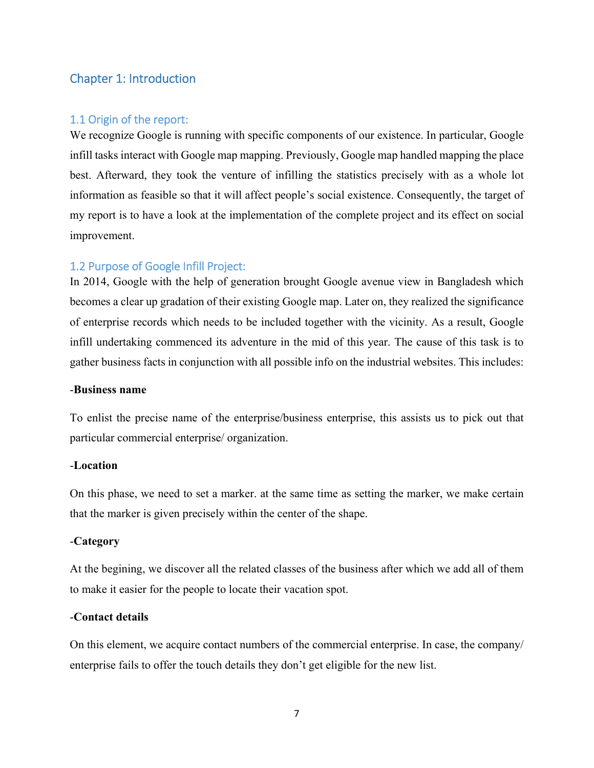### Chapter 1: Introduction

### 1.1 Origin of the report:

We recognize Google is running with specific components of our existence. In particular, Google infill tasks interact with Google map mapping. Previously, Google map handled mapping the place best. Afterward, they took the venture of infilling the statistics precisely with as a whole lot information as feasible so that it will affect people's social existence. Consequently, the target of my report is to have a look at the implementation of the complete project and its effect on social improvement.

#### 1.2 Purpose of Google Infill Project:

In 2014, Google with the help of generation brought Google avenue view in Bangladesh which becomes a clear up gradation of their existing Google map. Later on, they realized the significance of enterprise records which needs to be included together with the vicinity. As a result, Google infill undertaking commenced its adventure in the mid of this year. The cause of this task is to gather business facts in conjunction with all possible info on the industrial websites. This includes:

#### -**Business name**

To enlist the precise name of the enterprise/business enterprise, this assists us to pick out that particular commercial enterprise/ organization.

#### -**Location**

On this phase, we need to set a marker. at the same time as setting the marker, we make certain that the marker is given precisely within the center of the shape.

#### -**Category**

At the begining, we discover all the related classes of the business after which we add all of them to make it easier for the people to locate their vacation spot.

#### -**Contact details**

On this element, we acquire contact numbers of the commercial enterprise. In case, the company/ enterprise fails to offer the touch details they don't get eligible for the new list.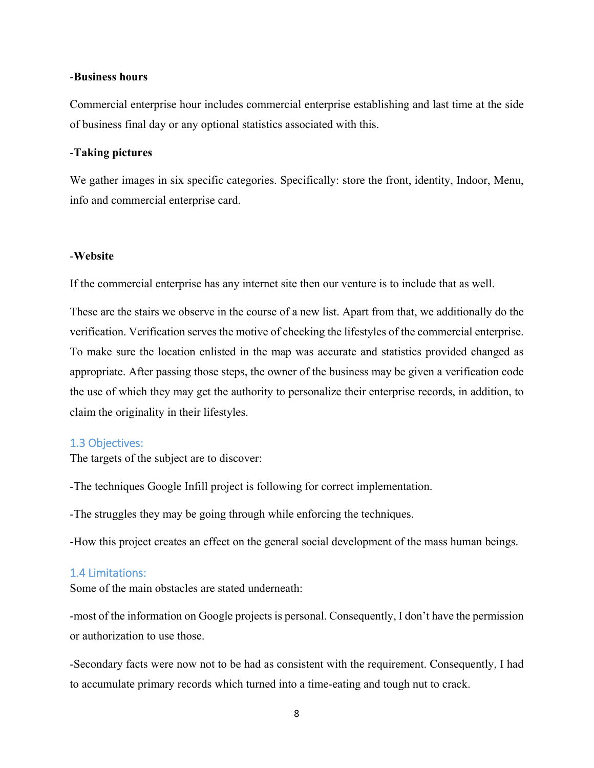#### -**Business hours**

Commercial enterprise hour includes commercial enterprise establishing and last time at the side of business final day or any optional statistics associated with this.

#### -**Taking pictures**

We gather images in six specific categories. Specifically: store the front, identity, Indoor, Menu, info and commercial enterprise card.

#### -**Website**

If the commercial enterprise has any internet site then our venture is to include that as well.

These are the stairs we observe in the course of a new list. Apart from that, we additionally do the verification. Verification serves the motive of checking the lifestyles of the commercial enterprise. To make sure the location enlisted in the map was accurate and statistics provided changed as appropriate. After passing those steps, the owner of the business may be given a verification code the use of which they may get the authority to personalize their enterprise records, in addition, to claim the originality in their lifestyles.

#### 1.3 Objectives:

The targets of the subject are to discover:

-The techniques Google Infill project is following for correct implementation.

-The struggles they may be going through while enforcing the techniques.

-How this project creates an effect on the general social development of the mass human beings.

### 1.4 Limitations:

Some of the main obstacles are stated underneath:

-most of the information on Google projects is personal. Consequently, I don't have the permission or authorization to use those.

-Secondary facts were now not to be had as consistent with the requirement. Consequently, I had to accumulate primary records which turned into a time-eating and tough nut to crack.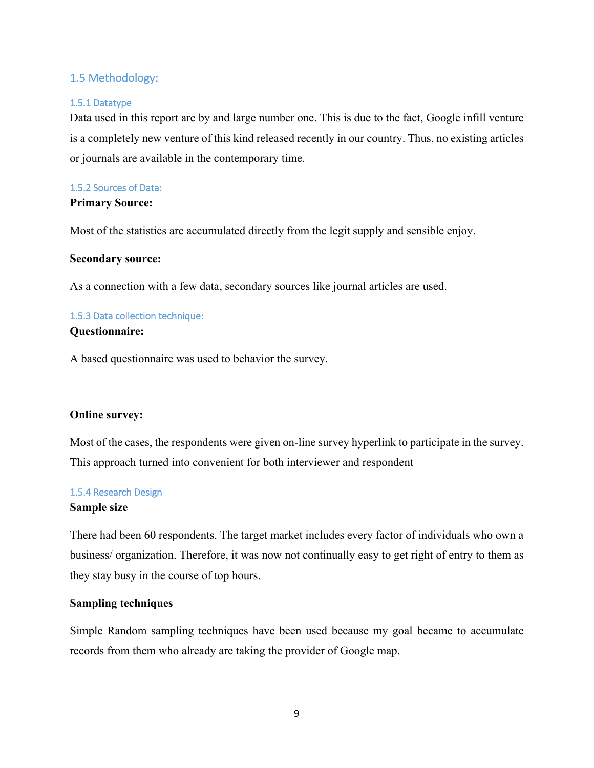### 1.5 Methodology:

#### 1.5.1 Datatype

Data used in this report are by and large number one. This is due to the fact, Google infill venture is a completely new venture of this kind released recently in our country. Thus, no existing articles or journals are available in the contemporary time.

## 1.5.2 Sources of Data:

### **Primary Source:**

Most of the statistics are accumulated directly from the legit supply and sensible enjoy.

#### **Secondary source:**

As a connection with a few data, secondary sources like journal articles are used.

### 1.5.3 Data collection technique: **Questionnaire:**

A based questionnaire was used to behavior the survey.

### **Online survey:**

Most of the cases, the respondents were given on-line survey hyperlink to participate in the survey. This approach turned into convenient for both interviewer and respondent

#### 1.5.4 Research Design

#### **Sample size**

There had been 60 respondents. The target market includes every factor of individuals who own a business/ organization. Therefore, it was now not continually easy to get right of entry to them as they stay busy in the course of top hours.

### **Sampling techniques**

Simple Random sampling techniques have been used because my goal became to accumulate records from them who already are taking the provider of Google map.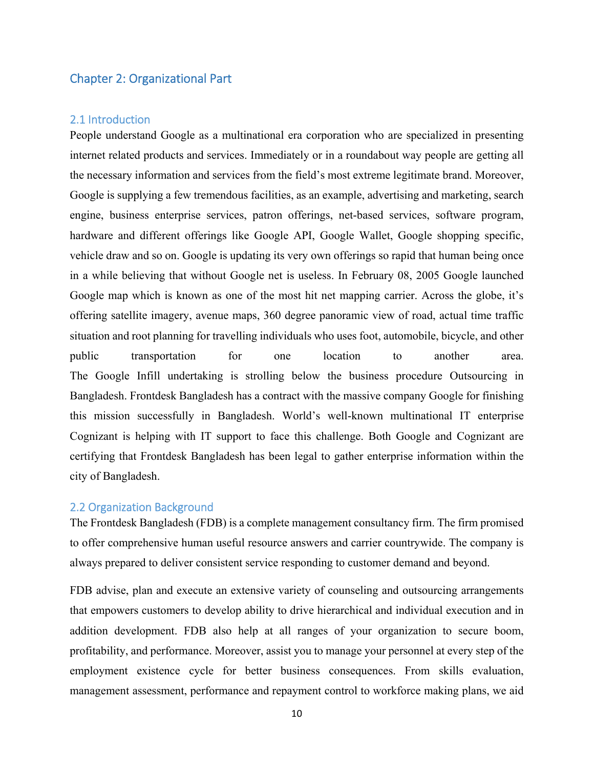### Chapter 2: Organizational Part

### 2.1 Introduction

People understand Google as a multinational era corporation who are specialized in presenting internet related products and services. Immediately or in a roundabout way people are getting all the necessary information and services from the field's most extreme legitimate brand. Moreover, Google is supplying a few tremendous facilities, as an example, advertising and marketing, search engine, business enterprise services, patron offerings, net-based services, software program, hardware and different offerings like Google API, Google Wallet, Google shopping specific, vehicle draw and so on. Google is updating its very own offerings so rapid that human being once in a while believing that without Google net is useless. In February 08, 2005 Google launched Google map which is known as one of the most hit net mapping carrier. Across the globe, it's offering satellite imagery, avenue maps, 360 degree panoramic view of road, actual time traffic situation and root planning for travelling individuals who uses foot, automobile, bicycle, and other public transportation for one location to another area. The Google Infill undertaking is strolling below the business procedure Outsourcing in Bangladesh. Frontdesk Bangladesh has a contract with the massive company Google for finishing this mission successfully in Bangladesh. World's well-known multinational IT enterprise Cognizant is helping with IT support to face this challenge. Both Google and Cognizant are certifying that Frontdesk Bangladesh has been legal to gather enterprise information within the city of Bangladesh.

#### 2.2 Organization Background

The Frontdesk Bangladesh (FDB) is a complete management consultancy firm. The firm promised to offer comprehensive human useful resource answers and carrier countrywide. The company is always prepared to deliver consistent service responding to customer demand and beyond.

FDB advise, plan and execute an extensive variety of counseling and outsourcing arrangements that empowers customers to develop ability to drive hierarchical and individual execution and in addition development. FDB also help at all ranges of your organization to secure boom, profitability, and performance. Moreover, assist you to manage your personnel at every step of the employment existence cycle for better business consequences. From skills evaluation, management assessment, performance and repayment control to workforce making plans, we aid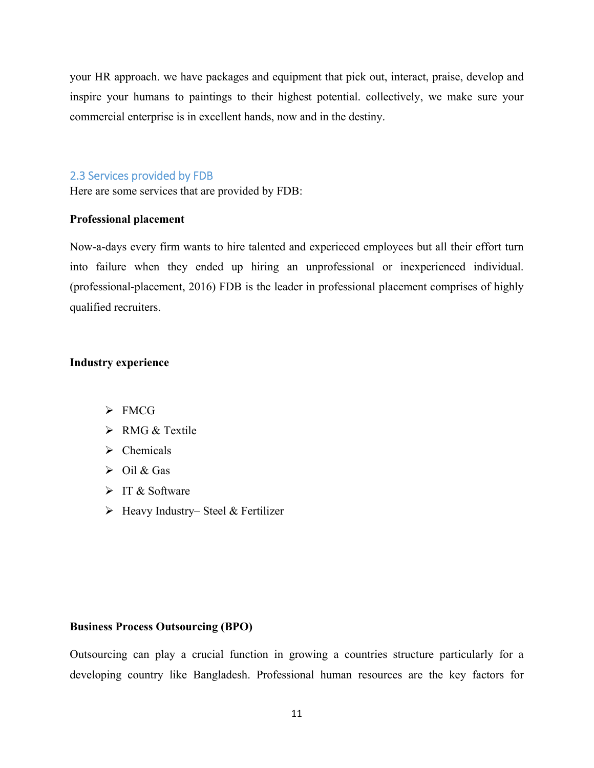your HR approach. we have packages and equipment that pick out, interact, praise, develop and inspire your humans to paintings to their highest potential. collectively, we make sure your commercial enterprise is in excellent hands, now and in the destiny.

### 2.3 Services provided by FDB

Here are some services that are provided by FDB:

### **Professional placement**

Now-a-days every firm wants to hire talented and experieced employees but all their effort turn into failure when they ended up hiring an unprofessional or inexperienced individual. (professional-placement, 2016) FDB is the leader in professional placement comprises of highly qualified recruiters.

#### **Industry experience**

- > FMCG
- $\triangleright$  RMG & Textile
- $\triangleright$  Chemicals
- $\triangleright$  Oil & Gas
- > IT & Software
- $\triangleright$  Heavy Industry– Steel & Fertilizer

#### **Business Process Outsourcing (BPO)**

Outsourcing can play a crucial function in growing a countries structure particularly for a developing country like Bangladesh. Professional human resources are the key factors for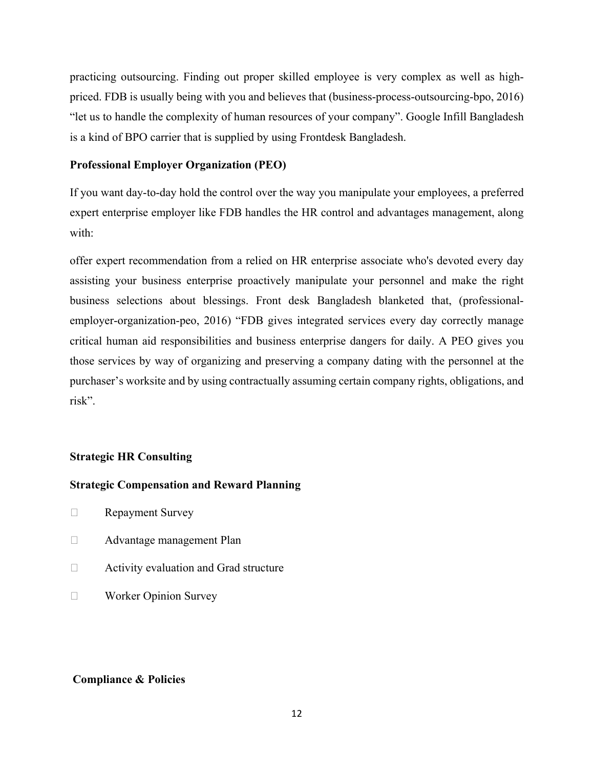practicing outsourcing. Finding out proper skilled employee is very complex as well as highpriced. FDB is usually being with you and believes that (business-process-outsourcing-bpo, 2016) "let us to handle the complexity of human resources of your company". Google Infill Bangladesh is a kind of BPO carrier that is supplied by using Frontdesk Bangladesh.

#### **Professional Employer Organization (PEO)**

If you want day-to-day hold the control over the way you manipulate your employees, a preferred expert enterprise employer like FDB handles the HR control and advantages management, along with:

offer expert recommendation from a relied on HR enterprise associate who's devoted every day assisting your business enterprise proactively manipulate your personnel and make the right business selections about blessings. Front desk Bangladesh blanketed that, (professionalemployer-organization-peo, 2016) "FDB gives integrated services every day correctly manage critical human aid responsibilities and business enterprise dangers for daily. A PEO gives you those services by way of organizing and preserving a company dating with the personnel at the purchaser's worksite and by using contractually assuming certain company rights, obligations, and risk".

### **Strategic HR Consulting**

#### **Strategic Compensation and Reward Planning**

- **Exercise Survey** Repayment Survey
- Advantage management Plan
- □ Activity evaluation and Grad structure
- **Norker Opinion Survey**

### **Compliance & Policies**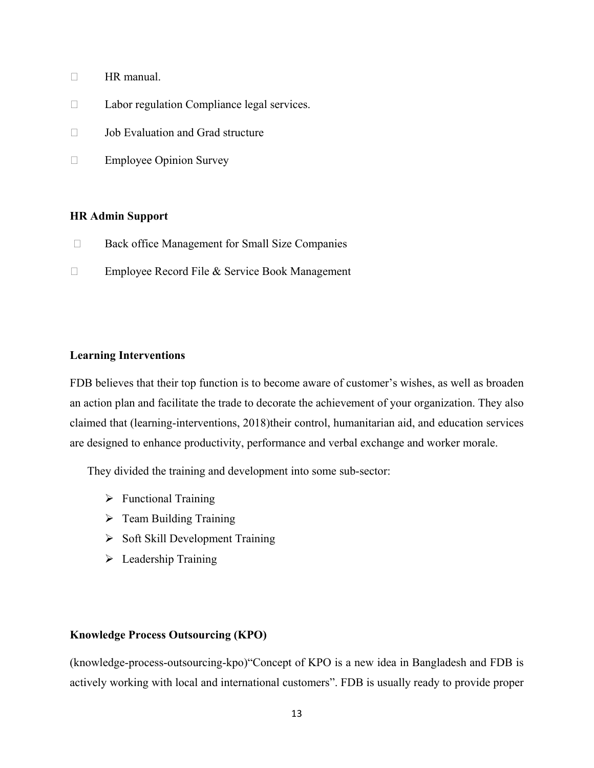- $\Box$  HR manual.
- □ Labor regulation Compliance legal services.
- $\Box$  Job Evaluation and Grad structure
- **Employee Opinion Survey**

#### **HR Admin Support**

- □ Back office Management for Small Size Companies
- □ Employee Record File & Service Book Management

#### **Learning Interventions**

FDB believes that their top function is to become aware of customer's wishes, as well as broaden an action plan and facilitate the trade to decorate the achievement of your organization. They also claimed that (learning-interventions, 2018)their control, humanitarian aid, and education services are designed to enhance productivity, performance and verbal exchange and worker morale.

They divided the training and development into some sub-sector:

- $\triangleright$  Functional Training
- $\triangleright$  Team Building Training
- $\triangleright$  Soft Skill Development Training
- $\triangleright$  Leadership Training

#### **Knowledge Process Outsourcing (KPO)**

(knowledge-process-outsourcing-kpo)"Concept of KPO is a new idea in Bangladesh and FDB is actively working with local and international customers". FDB is usually ready to provide proper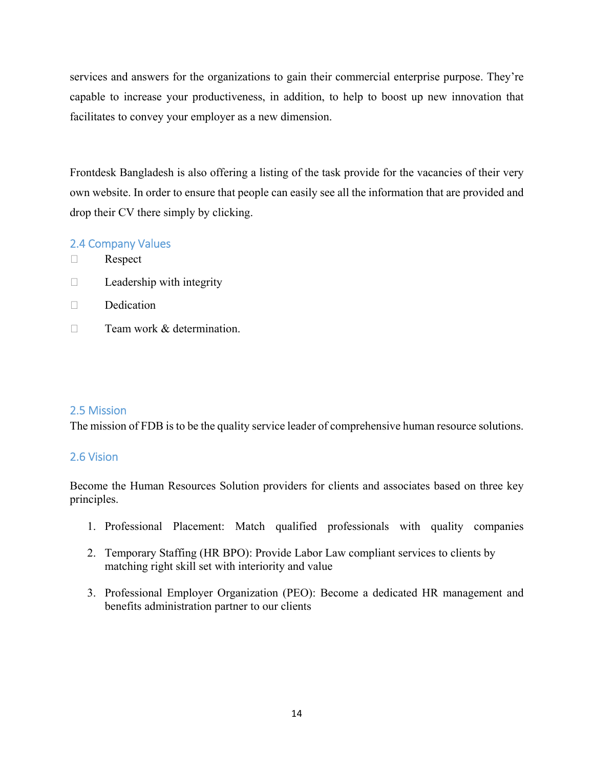services and answers for the organizations to gain their commercial enterprise purpose. They're capable to increase your productiveness, in addition, to help to boost up new innovation that facilitates to convey your employer as a new dimension.

Frontdesk Bangladesh is also offering a listing of the task provide for the vacancies of their very own website. In order to ensure that people can easily see all the information that are provided and drop their CV there simply by clicking.

### 2.4 Company Values

- □ Respect
- $\Box$  Leadership with integrity
- $\Box$  Dedication
- $\Box$  Team work & determination.

### 2.5 Mission

The mission of FDB is to be the quality service leader of comprehensive human resource solutions.

### 2.6 Vision

Become the Human Resources Solution providers for clients and associates based on three key principles.

- 1. Professional Placement: Match qualified professionals with quality companies
- 2. Temporary Staffing (HR BPO): Provide Labor Law compliant services to clients by matching right skill set with interiority and value
- 3. Professional Employer Organization (PEO): Become a dedicated HR management and benefits administration partner to our clients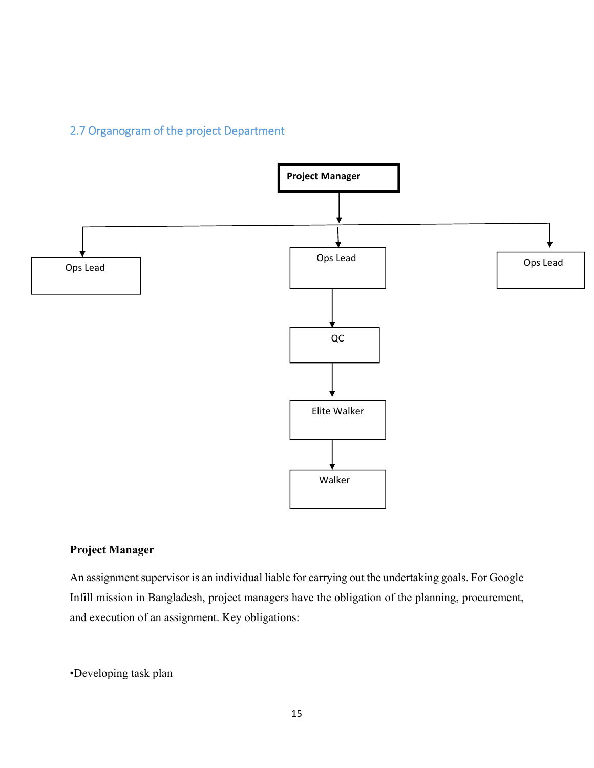# 2.7 Organogram of the project Department



### **Project Manager**

An assignment supervisor is an individual liable for carrying out the undertaking goals. For Google Infill mission in Bangladesh, project managers have the obligation of the planning, procurement, and execution of an assignment. Key obligations:

•Developing task plan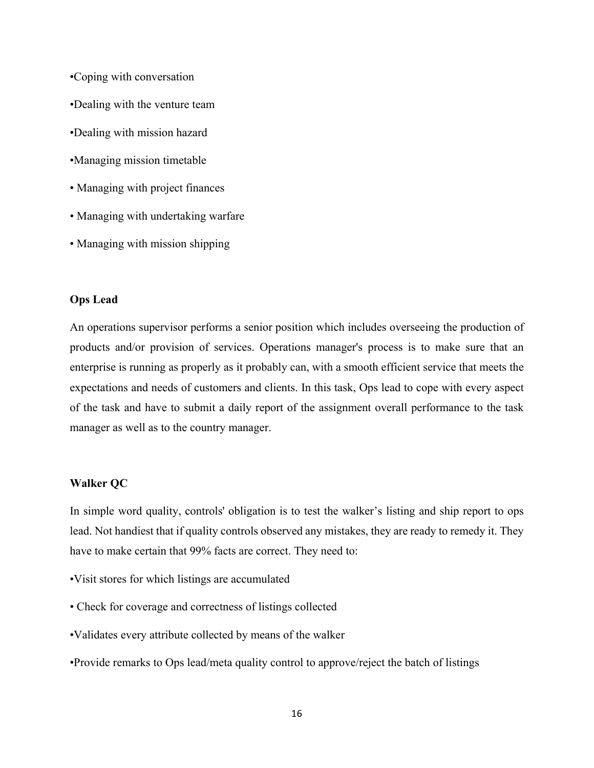- •Coping with conversation
- •Dealing with the venture team
- •Dealing with mission hazard
- •Managing mission timetable
- Managing with project finances
- Managing with undertaking warfare
- Managing with mission shipping

#### **Ops Lead**

An operations supervisor performs a senior position which includes overseeing the production of products and/or provision of services. Operations manager's process is to make sure that an enterprise is running as properly as it probably can, with a smooth efficient service that meets the expectations and needs of customers and clients. In this task, Ops lead to cope with every aspect of the task and have to submit a daily report of the assignment overall performance to the task manager as well as to the country manager.

#### **Walker QC**

In simple word quality, controls' obligation is to test the walker's listing and ship report to ops lead. Not handiest that if quality controls observed any mistakes, they are ready to remedy it. They have to make certain that 99% facts are correct. They need to:

- •Visit stores for which listings are accumulated
- Check for coverage and correctness of listings collected
- •Validates every attribute collected by means of the walker
- •Provide remarks to Ops lead/meta quality control to approve/reject the batch of listings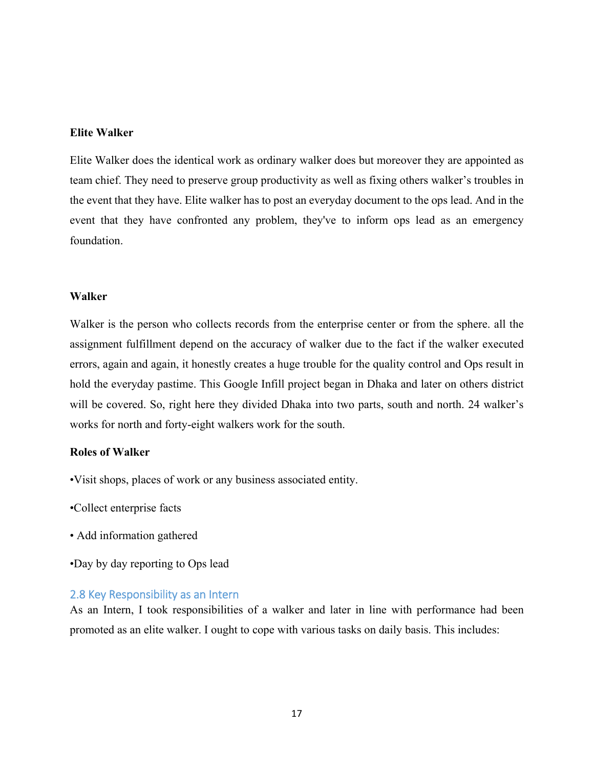#### **Elite Walker**

Elite Walker does the identical work as ordinary walker does but moreover they are appointed as team chief. They need to preserve group productivity as well as fixing others walker's troubles in the event that they have. Elite walker has to post an everyday document to the ops lead. And in the event that they have confronted any problem, they've to inform ops lead as an emergency foundation.

#### **Walker**

Walker is the person who collects records from the enterprise center or from the sphere. all the assignment fulfillment depend on the accuracy of walker due to the fact if the walker executed errors, again and again, it honestly creates a huge trouble for the quality control and Ops result in hold the everyday pastime. This Google Infill project began in Dhaka and later on others district will be covered. So, right here they divided Dhaka into two parts, south and north. 24 walker's works for north and forty-eight walkers work for the south.

#### **Roles of Walker**

- •Visit shops, places of work or any business associated entity.
- •Collect enterprise facts
- Add information gathered
- •Day by day reporting to Ops lead

#### 2.8 Key Responsibility as an Intern

As an Intern, I took responsibilities of a walker and later in line with performance had been promoted as an elite walker. I ought to cope with various tasks on daily basis. This includes: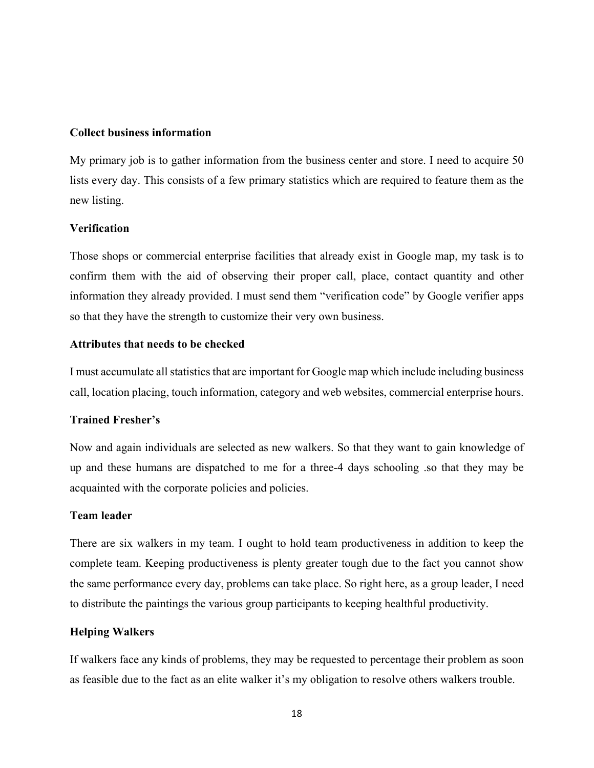#### **Collect business information**

My primary job is to gather information from the business center and store. I need to acquire 50 lists every day. This consists of a few primary statistics which are required to feature them as the new listing.

### **Verification**

Those shops or commercial enterprise facilities that already exist in Google map, my task is to confirm them with the aid of observing their proper call, place, contact quantity and other information they already provided. I must send them "verification code" by Google verifier apps so that they have the strength to customize their very own business.

#### **Attributes that needs to be checked**

I must accumulate all statistics that are important for Google map which include including business call, location placing, touch information, category and web websites, commercial enterprise hours.

### **Trained Fresher's**

Now and again individuals are selected as new walkers. So that they want to gain knowledge of up and these humans are dispatched to me for a three-4 days schooling .so that they may be acquainted with the corporate policies and policies.

#### **Team leader**

There are six walkers in my team. I ought to hold team productiveness in addition to keep the complete team. Keeping productiveness is plenty greater tough due to the fact you cannot show the same performance every day, problems can take place. So right here, as a group leader, I need to distribute the paintings the various group participants to keeping healthful productivity.

### **Helping Walkers**

If walkers face any kinds of problems, they may be requested to percentage their problem as soon as feasible due to the fact as an elite walker it's my obligation to resolve others walkers trouble.

18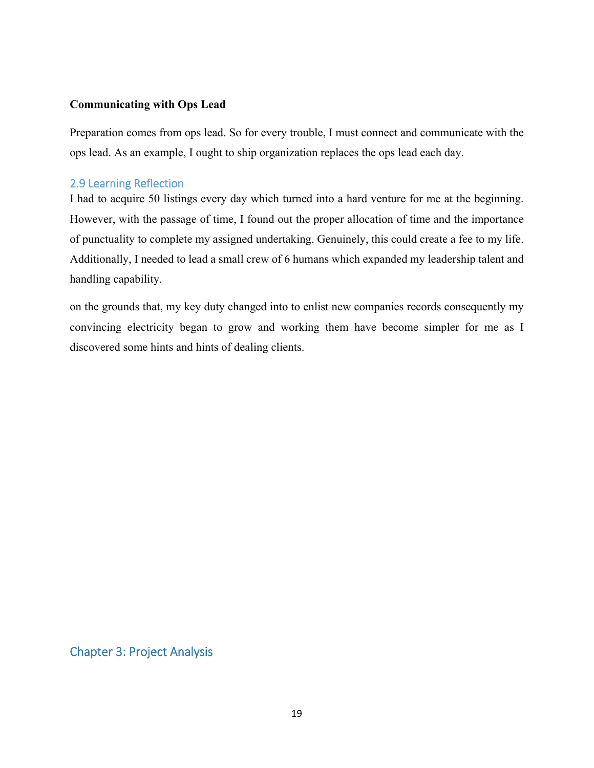### **Communicating with Ops Lead**

Preparation comes from ops lead. So for every trouble, I must connect and communicate with the ops lead. As an example, I ought to ship organization replaces the ops lead each day.

### 2.9 Learning Reflection

I had to acquire 50 listings every day which turned into a hard venture for me at the beginning. However, with the passage of time, I found out the proper allocation of time and the importance of punctuality to complete my assigned undertaking. Genuinely, this could create a fee to my life. Additionally, I needed to lead a small crew of 6 humans which expanded my leadership talent and handling capability.

on the grounds that, my key duty changed into to enlist new companies records consequently my convincing electricity began to grow and working them have become simpler for me as I discovered some hints and hints of dealing clients.

Chapter 3: Project Analysis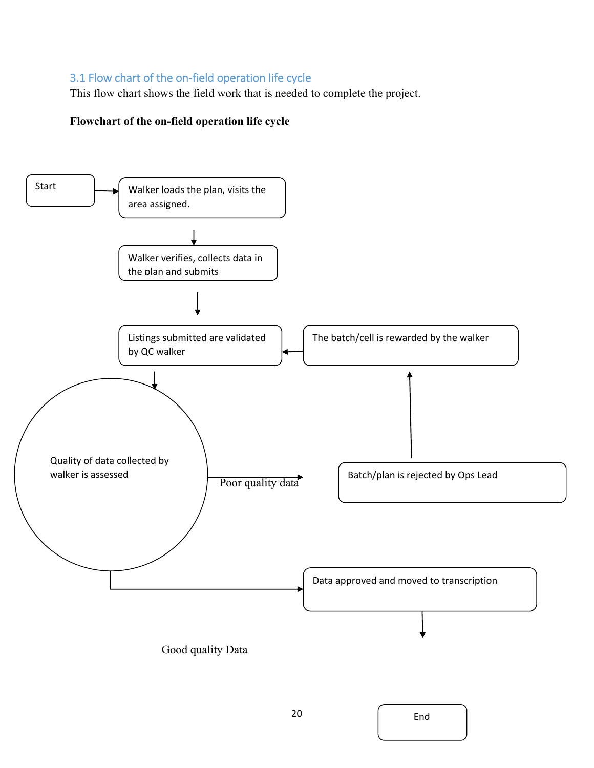### 3.1 Flow chart of the on‐field operation life cycle

This flow chart shows the field work that is needed to complete the project.

### **Flowchart of the on-field operation life cycle**

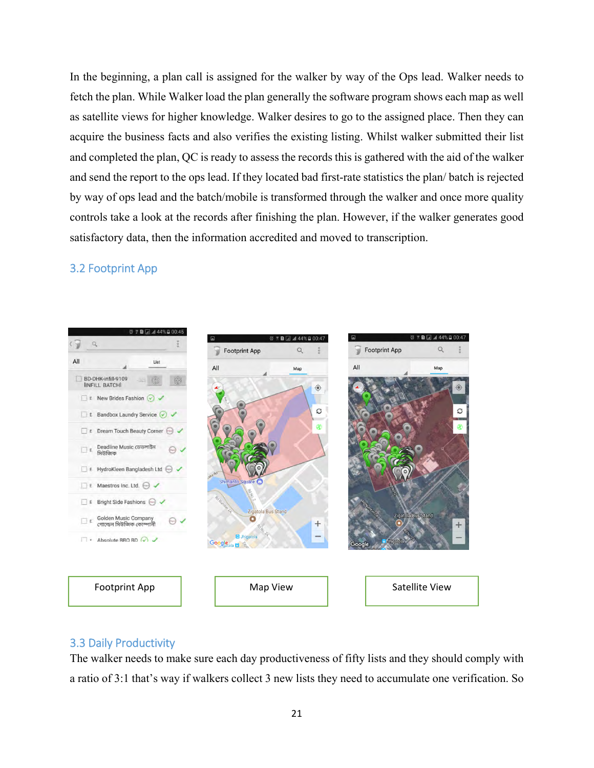In the beginning, a plan call is assigned for the walker by way of the Ops lead. Walker needs to fetch the plan. While Walker load the plan generally the software program shows each map as well as satellite views for higher knowledge. Walker desires to go to the assigned place. Then they can acquire the business facts and also verifies the existing listing. Whilst walker submitted their list and completed the plan, QC is ready to assess the records this is gathered with the aid of the walker and send the report to the ops lead. If they located bad first-rate statistics the plan/ batch is rejected by way of ops lead and the batch/mobile is transformed through the walker and once more quality controls take a look at the records after finishing the plan. However, if the walker generates good satisfactory data, then the information accredited and moved to transcription.

### 3.2 Footprint App



### 3.3 Daily Productivity

The walker needs to make sure each day productiveness of fifty lists and they should comply with a ratio of 3:1 that's way if walkers collect 3 new lists they need to accumulate one verification. So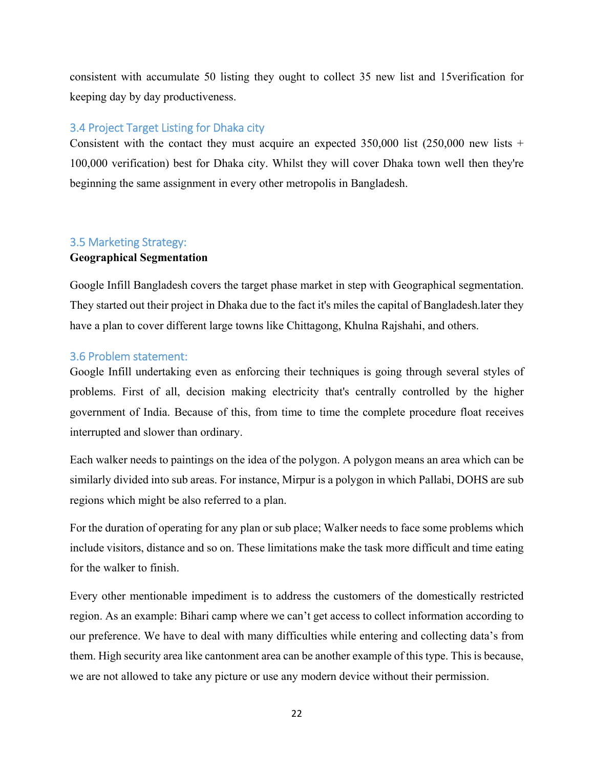consistent with accumulate 50 listing they ought to collect 35 new list and 15verification for keeping day by day productiveness.

### 3.4 Project Target Listing for Dhaka city

Consistent with the contact they must acquire an expected  $350,000$  list  $(250,000$  new lists + 100,000 verification) best for Dhaka city. Whilst they will cover Dhaka town well then they're beginning the same assignment in every other metropolis in Bangladesh.

# 3.5 Marketing Strategy:

### **Geographical Segmentation**

Google Infill Bangladesh covers the target phase market in step with Geographical segmentation. They started out their project in Dhaka due to the fact it's miles the capital of Bangladesh.later they have a plan to cover different large towns like Chittagong, Khulna Rajshahi, and others.

### 3.6 Problem statement:

Google Infill undertaking even as enforcing their techniques is going through several styles of problems. First of all, decision making electricity that's centrally controlled by the higher government of India. Because of this, from time to time the complete procedure float receives interrupted and slower than ordinary.

Each walker needs to paintings on the idea of the polygon. A polygon means an area which can be similarly divided into sub areas. For instance, Mirpur is a polygon in which Pallabi, DOHS are sub regions which might be also referred to a plan.

For the duration of operating for any plan or sub place; Walker needs to face some problems which include visitors, distance and so on. These limitations make the task more difficult and time eating for the walker to finish.

Every other mentionable impediment is to address the customers of the domestically restricted region. As an example: Bihari camp where we can't get access to collect information according to our preference. We have to deal with many difficulties while entering and collecting data's from them. High security area like cantonment area can be another example of this type. This is because, we are not allowed to take any picture or use any modern device without their permission.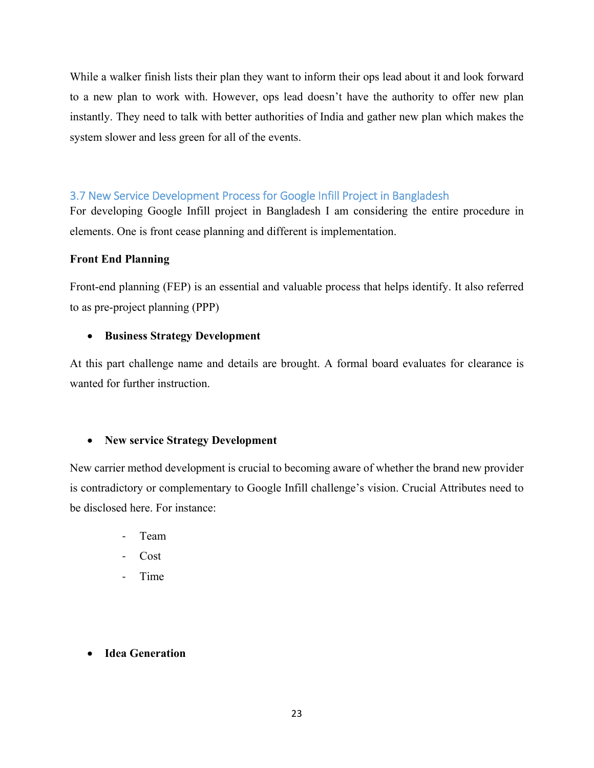While a walker finish lists their plan they want to inform their ops lead about it and look forward to a new plan to work with. However, ops lead doesn't have the authority to offer new plan instantly. They need to talk with better authorities of India and gather new plan which makes the system slower and less green for all of the events.

### 3.7 New Service Development Process for Google Infill Project in Bangladesh

For developing Google Infill project in Bangladesh I am considering the entire procedure in elements. One is front cease planning and different is implementation.

### **Front End Planning**

Front-end planning (FEP) is an essential and valuable process that helps identify. It also referred to as pre-project planning (PPP)

### **Business Strategy Development**

At this part challenge name and details are brought. A formal board evaluates for clearance is wanted for further instruction.

### **New service Strategy Development**

New carrier method development is crucial to becoming aware of whether the brand new provider is contradictory or complementary to Google Infill challenge's vision. Crucial Attributes need to be disclosed here. For instance:

- ‐ Team
- ‐ Cost
- ‐ Time

### **Idea Generation**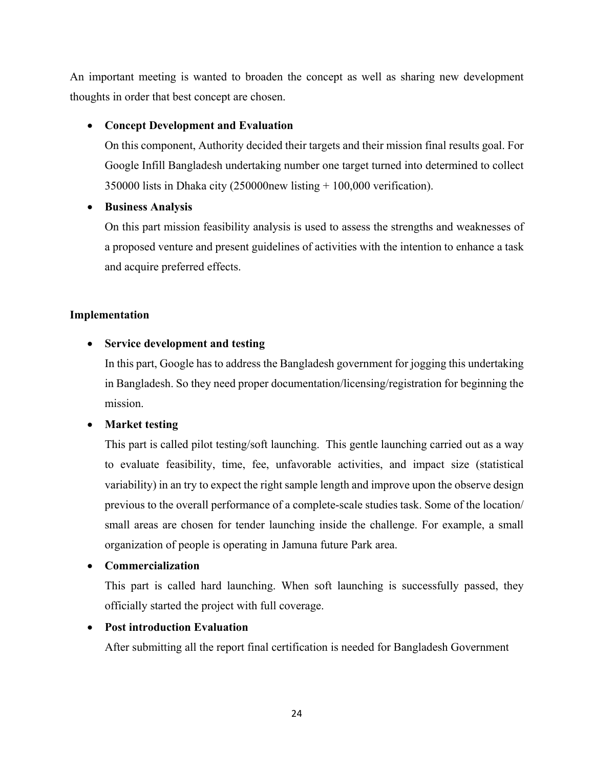An important meeting is wanted to broaden the concept as well as sharing new development thoughts in order that best concept are chosen.

### **Concept Development and Evaluation**

On this component, Authority decided their targets and their mission final results goal. For Google Infill Bangladesh undertaking number one target turned into determined to collect 350000 lists in Dhaka city (250000new listing + 100,000 verification).

### **Business Analysis**

On this part mission feasibility analysis is used to assess the strengths and weaknesses of a proposed venture and present guidelines of activities with the intention to enhance a task and acquire preferred effects.

### **Implementation**

### **Service development and testing**

In this part, Google has to address the Bangladesh government for jogging this undertaking in Bangladesh. So they need proper documentation/licensing/registration for beginning the mission.

### **Market testing**

This part is called pilot testing/soft launching. This gentle launching carried out as a way to evaluate feasibility, time, fee, unfavorable activities, and impact size (statistical variability) in an try to expect the right sample length and improve upon the observe design previous to the overall performance of a complete-scale studies task. Some of the location/ small areas are chosen for tender launching inside the challenge. For example, a small organization of people is operating in Jamuna future Park area.

### **Commercialization**

This part is called hard launching. When soft launching is successfully passed, they officially started the project with full coverage.

### **Post introduction Evaluation**

After submitting all the report final certification is needed for Bangladesh Government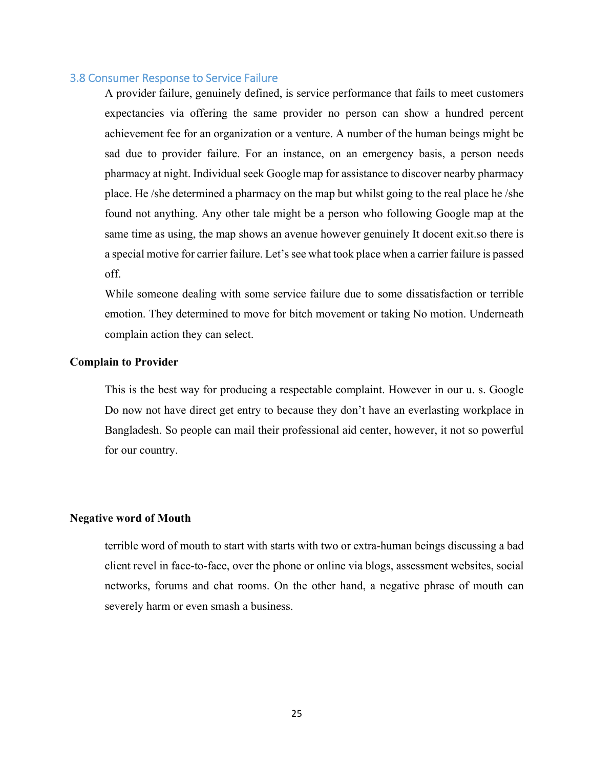#### 3.8 Consumer Response to Service Failure

A provider failure, genuinely defined, is service performance that fails to meet customers expectancies via offering the same provider no person can show a hundred percent achievement fee for an organization or a venture. A number of the human beings might be sad due to provider failure. For an instance, on an emergency basis, a person needs pharmacy at night. Individual seek Google map for assistance to discover nearby pharmacy place. He /she determined a pharmacy on the map but whilst going to the real place he /she found not anything. Any other tale might be a person who following Google map at the same time as using, the map shows an avenue however genuinely It docent exit.so there is a special motive for carrier failure. Let's see what took place when a carrier failure is passed off.

While someone dealing with some service failure due to some dissatisfaction or terrible emotion. They determined to move for bitch movement or taking No motion. Underneath complain action they can select.

#### **Complain to Provider**

This is the best way for producing a respectable complaint. However in our u. s. Google Do now not have direct get entry to because they don't have an everlasting workplace in Bangladesh. So people can mail their professional aid center, however, it not so powerful for our country.

#### **Negative word of Mouth**

terrible word of mouth to start with starts with two or extra-human beings discussing a bad client revel in face-to-face, over the phone or online via blogs, assessment websites, social networks, forums and chat rooms. On the other hand, a negative phrase of mouth can severely harm or even smash a business.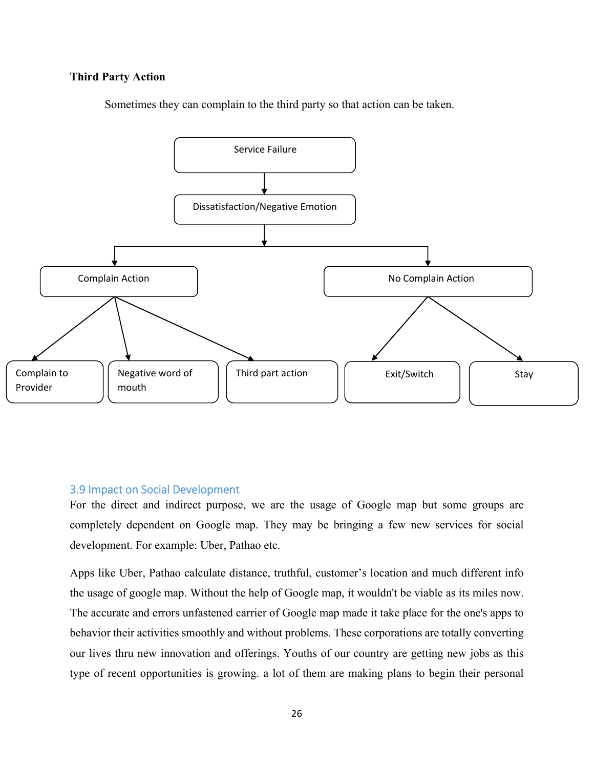#### **Third Party Action**





#### 3.9 Impact on Social Development

For the direct and indirect purpose, we are the usage of Google map but some groups are completely dependent on Google map. They may be bringing a few new services for social development. For example: Uber, Pathao etc.

Apps like Uber, Pathao calculate distance, truthful, customer's location and much different info the usage of google map. Without the help of Google map, it wouldn't be viable as its miles now. The accurate and errors unfastened carrier of Google map made it take place for the one's apps to behavior their activities smoothly and without problems. These corporations are totally converting our lives thru new innovation and offerings. Youths of our country are getting new jobs as this type of recent opportunities is growing. a lot of them are making plans to begin their personal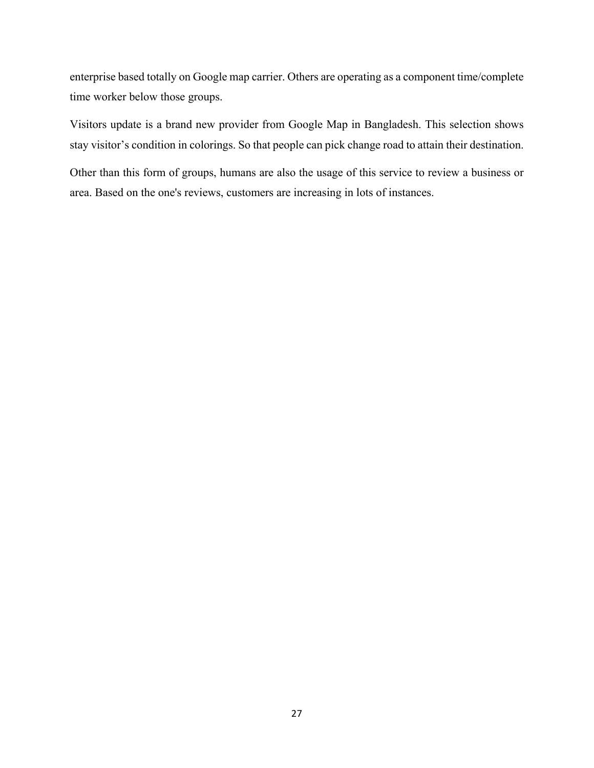enterprise based totally on Google map carrier. Others are operating as a component time/complete time worker below those groups.

Visitors update is a brand new provider from Google Map in Bangladesh. This selection shows stay visitor's condition in colorings. So that people can pick change road to attain their destination.

Other than this form of groups, humans are also the usage of this service to review a business or area. Based on the one's reviews, customers are increasing in lots of instances.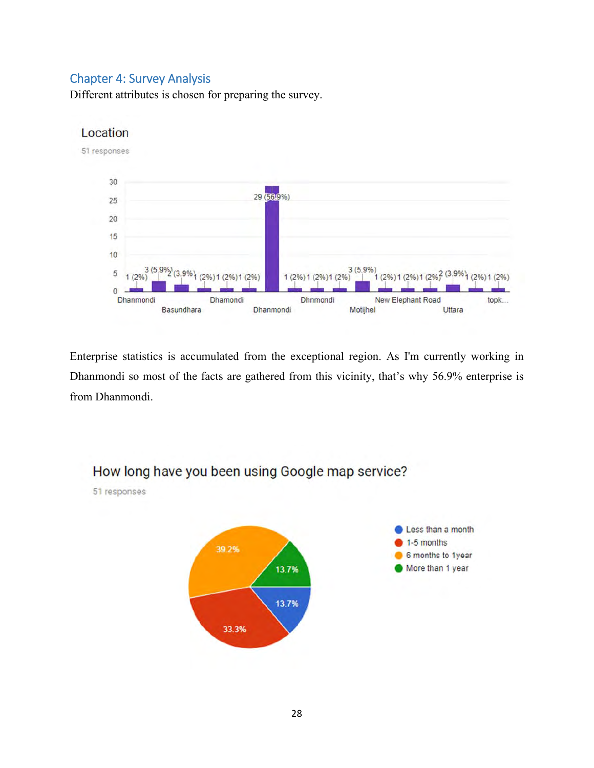### Chapter 4: Survey Analysis

Different attributes is chosen for preparing the survey.



Enterprise statistics is accumulated from the exceptional region. As I'm currently working in Dhanmondi so most of the facts are gathered from this vicinity, that's why 56.9% enterprise is from Dhanmondi.

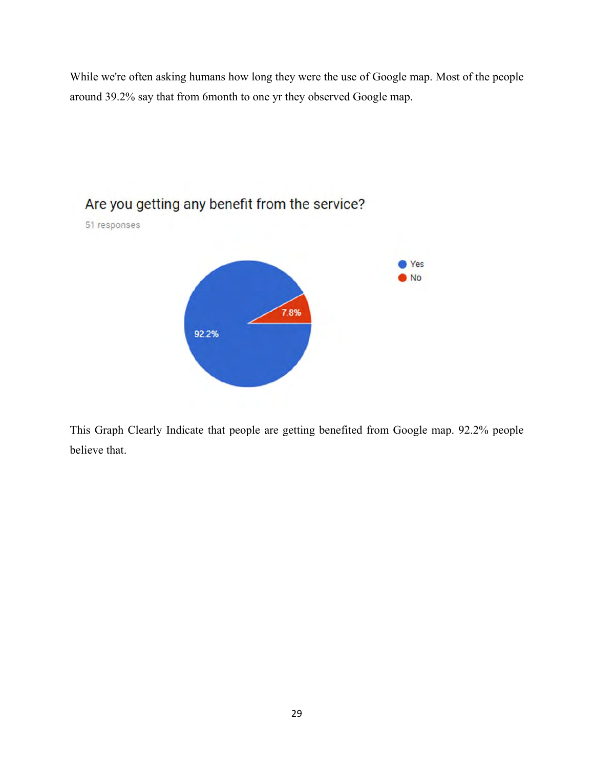While we're often asking humans how long they were the use of Google map. Most of the people around 39.2% say that from 6month to one yr they observed Google map.



This Graph Clearly Indicate that people are getting benefited from Google map. 92.2% people believe that.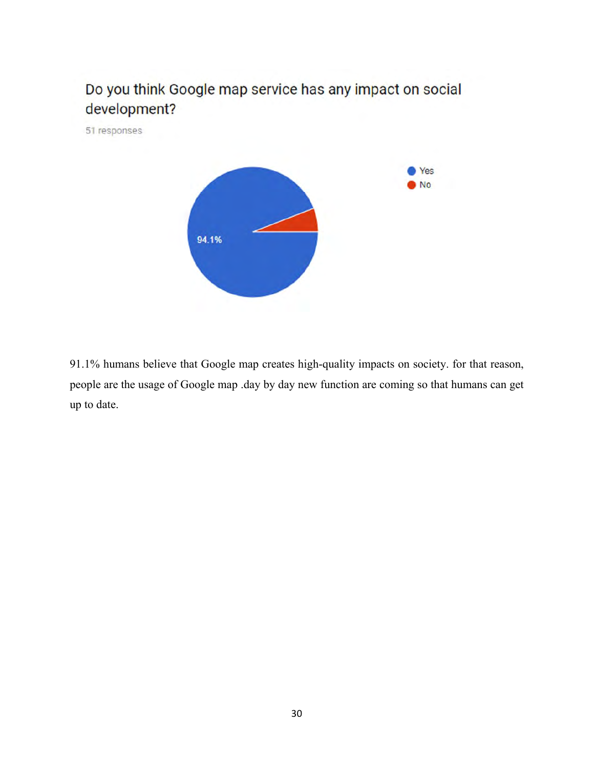

91.1% humans believe that Google map creates high-quality impacts on society. for that reason, people are the usage of Google map .day by day new function are coming so that humans can get up to date.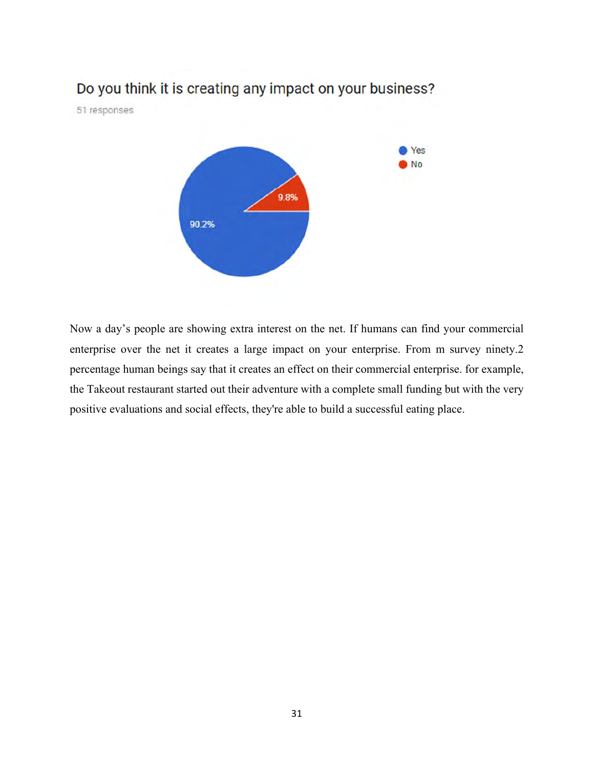# Do you think it is creating any impact on your business?

51 responses



Now a day's people are showing extra interest on the net. If humans can find your commercial enterprise over the net it creates a large impact on your enterprise. From m survey ninety.2 percentage human beings say that it creates an effect on their commercial enterprise. for example, the Takeout restaurant started out their adventure with a complete small funding but with the very positive evaluations and social effects, they're able to build a successful eating place.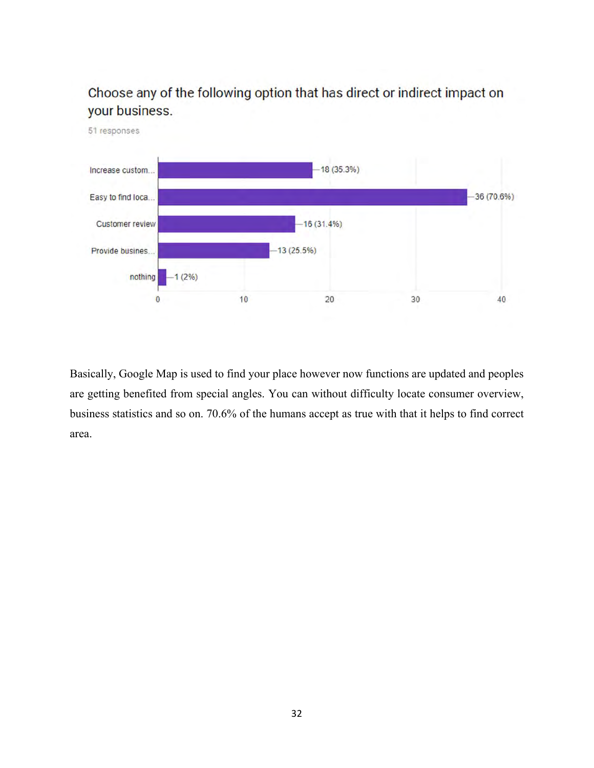

Choose any of the following option that has direct or indirect impact on your business.

Basically, Google Map is used to find your place however now functions are updated and peoples are getting benefited from special angles. You can without difficulty locate consumer overview, business statistics and so on. 70.6% of the humans accept as true with that it helps to find correct area.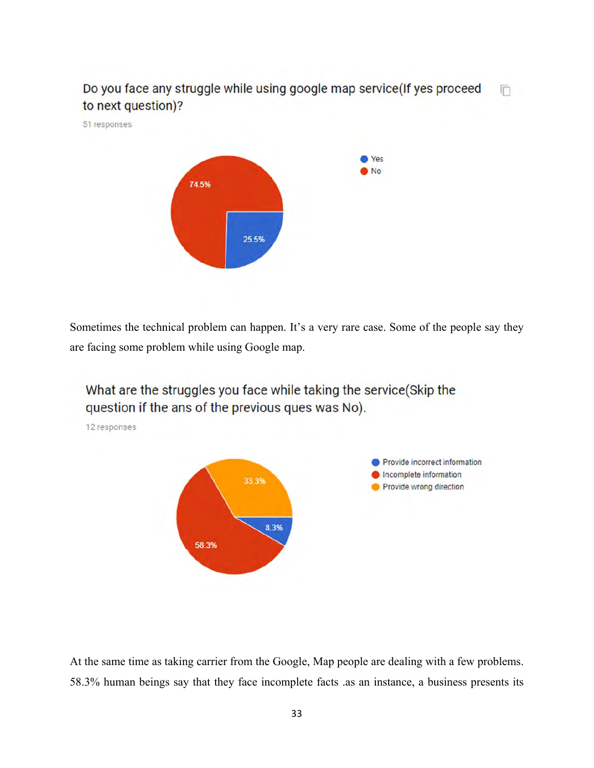Do you face any struggle while using google map service(If yes proceed Ō. to next question)?

51 responses



Sometimes the technical problem can happen. It's a very rare case. Some of the people say they are facing some problem while using Google map.



At the same time as taking carrier from the Google, Map people are dealing with a few problems. 58.3% human beings say that they face incomplete facts .as an instance, a business presents its

33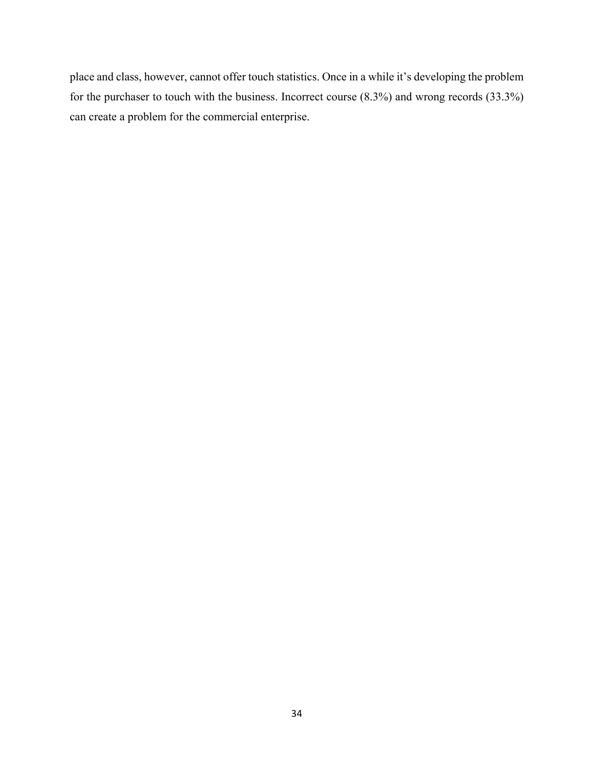place and class, however, cannot offer touch statistics. Once in a while it's developing the problem for the purchaser to touch with the business. Incorrect course (8.3%) and wrong records (33.3%) can create a problem for the commercial enterprise.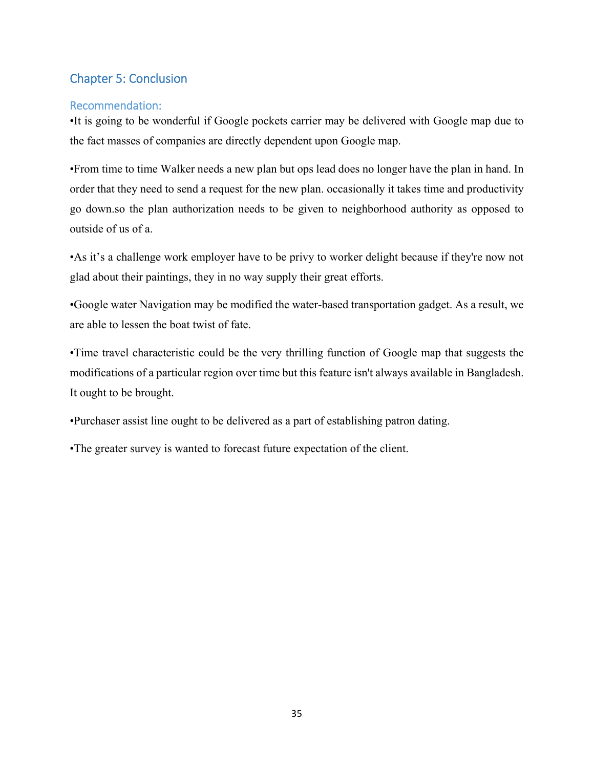# Chapter 5: Conclusion

### Recommendation:

•It is going to be wonderful if Google pockets carrier may be delivered with Google map due to the fact masses of companies are directly dependent upon Google map.

•From time to time Walker needs a new plan but ops lead does no longer have the plan in hand. In order that they need to send a request for the new plan. occasionally it takes time and productivity go down.so the plan authorization needs to be given to neighborhood authority as opposed to outside of us of a.

•As it's a challenge work employer have to be privy to worker delight because if they're now not glad about their paintings, they in no way supply their great efforts.

•Google water Navigation may be modified the water-based transportation gadget. As a result, we are able to lessen the boat twist of fate.

•Time travel characteristic could be the very thrilling function of Google map that suggests the modifications of a particular region over time but this feature isn't always available in Bangladesh. It ought to be brought.

•Purchaser assist line ought to be delivered as a part of establishing patron dating.

•The greater survey is wanted to forecast future expectation of the client.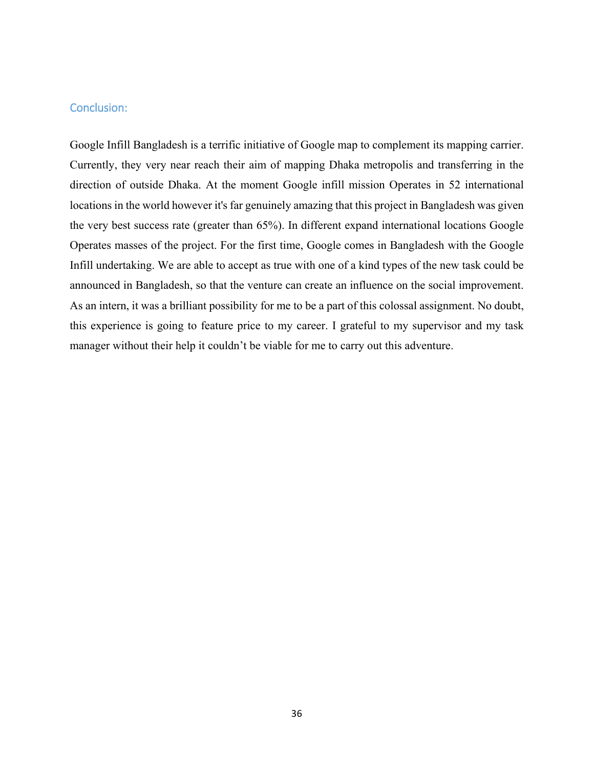### Conclusion:

Google Infill Bangladesh is a terrific initiative of Google map to complement its mapping carrier. Currently, they very near reach their aim of mapping Dhaka metropolis and transferring in the direction of outside Dhaka. At the moment Google infill mission Operates in 52 international locations in the world however it's far genuinely amazing that this project in Bangladesh was given the very best success rate (greater than 65%). In different expand international locations Google Operates masses of the project. For the first time, Google comes in Bangladesh with the Google Infill undertaking. We are able to accept as true with one of a kind types of the new task could be announced in Bangladesh, so that the venture can create an influence on the social improvement. As an intern, it was a brilliant possibility for me to be a part of this colossal assignment. No doubt, this experience is going to feature price to my career. I grateful to my supervisor and my task manager without their help it couldn't be viable for me to carry out this adventure.